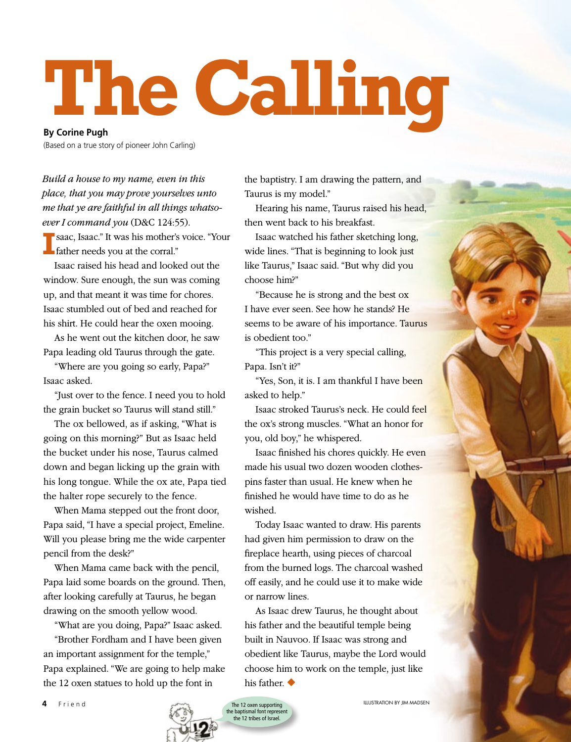## **The Calling**

**By Corine Pugh**

(Based on a true story of pioneer John Carling)

*Build a house to my name, even in this place, that you may prove yourselves unto me that ye are faithful in all things whatsoever I command you* (D&C 124:55).

**I** Saac, Isaac." It was his mother's father needs you at the corral." saac, Isaac." It was his mother's voice. "Your

Isaac raised his head and looked out the window. Sure enough, the sun was coming up, and that meant it was time for chores. Isaac stumbled out of bed and reached for his shirt. He could hear the oxen mooing.

As he went out the kitchen door, he saw Papa leading old Taurus through the gate.

"Where are you going so early, Papa?" Isaac asked.

"Just over to the fence. I need you to hold the grain bucket so Taurus will stand still."

The ox bellowed, as if asking, "What is going on this morning?" But as Isaac held the bucket under his nose, Taurus calmed down and began licking up the grain with his long tongue. While the ox ate, Papa tied the halter rope securely to the fence.

When Mama stepped out the front door, Papa said, "I have a special project, Emeline. Will you please bring me the wide carpenter pencil from the desk?"

When Mama came back with the pencil, Papa laid some boards on the ground. Then, after looking carefully at Taurus, he began drawing on the smooth yellow wood.

"What are you doing, Papa?" Isaac asked.

"Brother Fordham and I have been given an important assignment for the temple," Papa explained. "We are going to help make the 12 oxen statues to hold up the font in

the baptistry. I am drawing the pattern, and Taurus is my model."

Hearing his name, Taurus raised his head, then went back to his breakfast.

Isaac watched his father sketching long, wide lines. "That is beginning to look just like Taurus," Isaac said. "But why did you choose him?"

"Because he is strong and the best ox I have ever seen. See how he stands? He seems to be aware of his importance. Taurus is obedient too."

"This project is a very special calling, Papa. Isn't it?"

"Yes, Son, it is. I am thankful I have been asked to help."

Isaac stroked Taurus's neck. He could feel the ox's strong muscles. "What an honor for you, old boy," he whispered.

Isaac finished his chores quickly. He even made his usual two dozen wooden clothespins faster than usual. He knew when he finished he would have time to do as he wished.

Today Isaac wanted to draw. His parents had given him permission to draw on the fireplace hearth, using pieces of charcoal from the burned logs. The charcoal washed off easily, and he could use it to make wide or narrow lines.

As Isaac drew Taurus, he thought about his father and the beautiful temple being built in Nauvoo. If Isaac was strong and obedient like Taurus, maybe the Lord would choose him to work on the temple, just like his father. ◆

The 12 oxen supporting the baptismal font represent the 12 tribes of Israel.